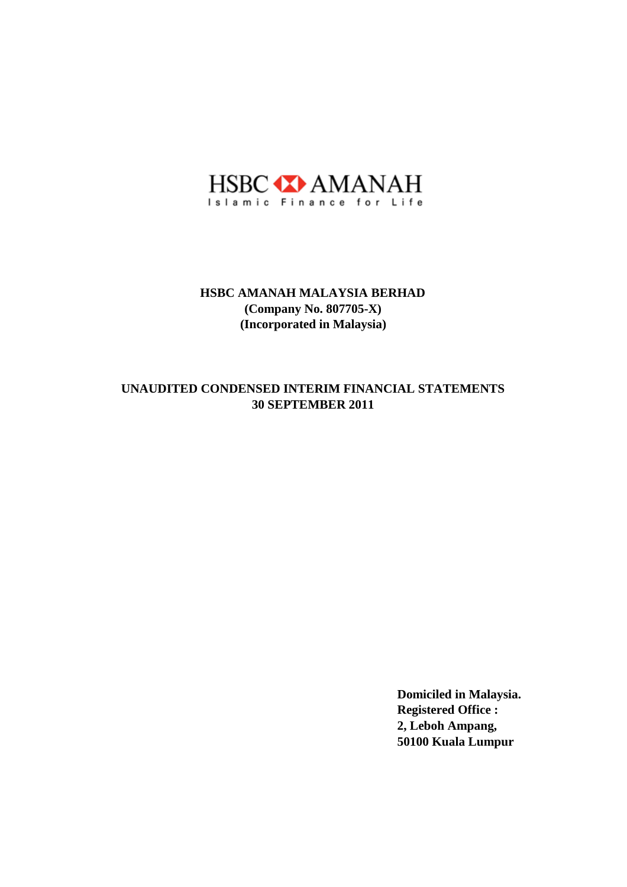

# **30 SEPTEMBER 2011 UNAUDITED CONDENSED INTERIM FINANCIAL STATEMENTS**

**Domiciled in Malaysia. Registered Office : 2, Leboh Ampang, 50100 Kuala Lumpur**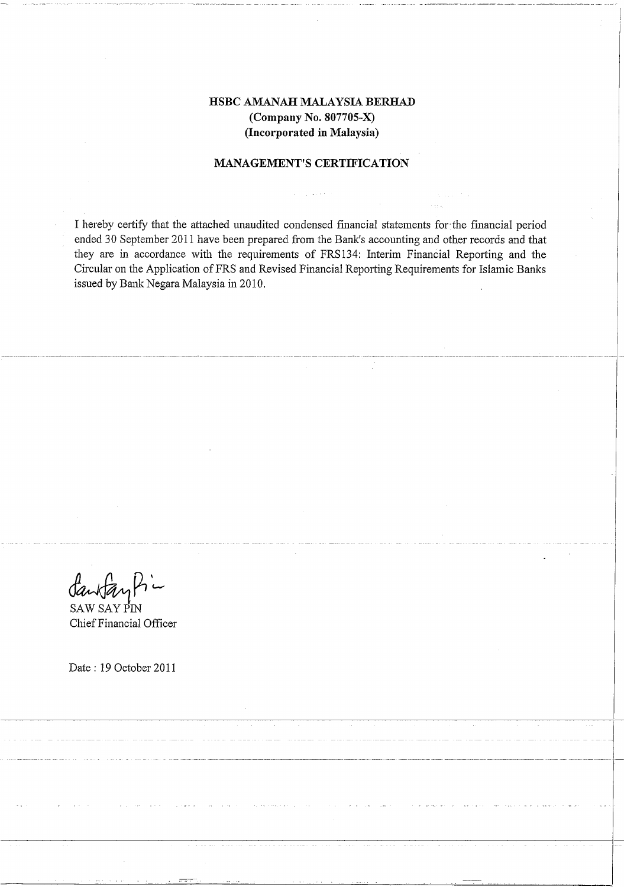## **MANAGEMENT'S CERTIFICATION**

I hereby certify that the attached unaudited condensed financial statements for the financial period ended 30 September 2011 have been prepared from the Bank's accounting and other records and that they are in accordance with the requirements of FRS134: Interim Financial Reporting and the Circular on the Application of FRS and Revised Financial Reporting Requirements for Islamic Banks issued by Bank Negara Malaysia in 2010.

**SAW SAY PIN** Chief Financial Officer

Date: 19 October 2011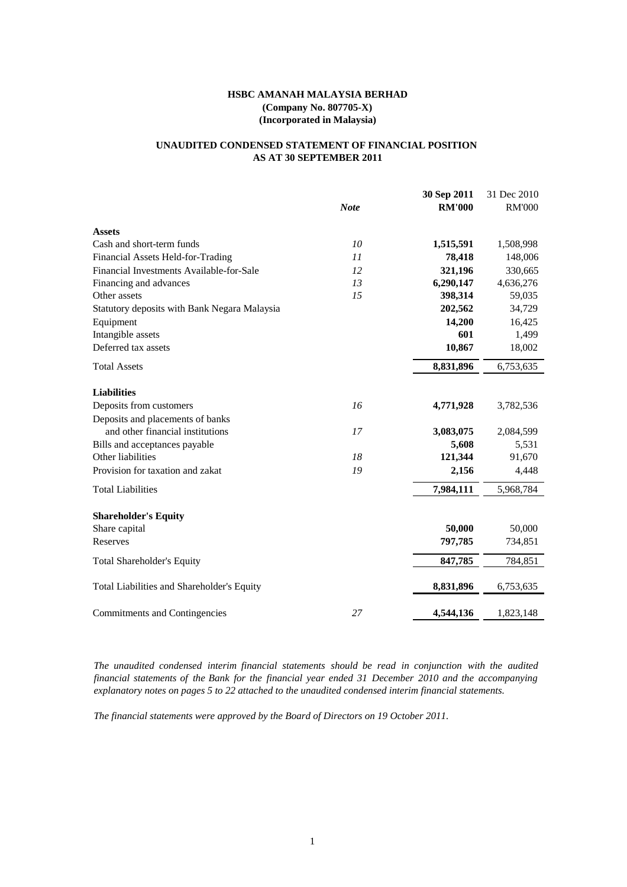# **AS AT 30 SEPTEMBER 2011 UNAUDITED CONDENSED STATEMENT OF FINANCIAL POSITION**

|                                              |             | 30 Sep 2011   | 31 Dec 2010   |
|----------------------------------------------|-------------|---------------|---------------|
|                                              | <b>Note</b> | <b>RM'000</b> | <b>RM'000</b> |
| <b>Assets</b>                                |             |               |               |
| Cash and short-term funds                    | 10          | 1,515,591     | 1,508,998     |
| Financial Assets Held-for-Trading            | 11          | 78,418        | 148,006       |
| Financial Investments Available-for-Sale     | 12          | 321,196       | 330,665       |
| Financing and advances                       | 13          | 6,290,147     | 4,636,276     |
| Other assets                                 | 15          | 398,314       | 59,035        |
| Statutory deposits with Bank Negara Malaysia |             | 202,562       | 34,729        |
| Equipment                                    |             | 14,200        | 16,425        |
| Intangible assets                            |             | 601           | 1,499         |
| Deferred tax assets                          |             | 10,867        | 18,002        |
| <b>Total Assets</b>                          |             | 8,831,896     | 6,753,635     |
| <b>Liabilities</b>                           |             |               |               |
| Deposits from customers                      | 16          | 4,771,928     | 3,782,536     |
| Deposits and placements of banks             |             |               |               |
| and other financial institutions             | 17          | 3,083,075     | 2,084,599     |
| Bills and acceptances payable                |             | 5,608         | 5,531         |
| Other liabilities                            | 18          | 121,344       | 91,670        |
| Provision for taxation and zakat             | 19          | 2,156         | 4,448         |
| <b>Total Liabilities</b>                     |             | 7,984,111     | 5,968,784     |
| <b>Shareholder's Equity</b>                  |             |               |               |
| Share capital                                |             | 50,000        | 50,000        |
| Reserves                                     |             | 797,785       | 734,851       |
| <b>Total Shareholder's Equity</b>            |             | 847,785       | 784,851       |
| Total Liabilities and Shareholder's Equity   |             | 8,831,896     | 6,753,635     |
| Commitments and Contingencies                | 27          | 4,544,136     | 1,823,148     |

*The unaudited condensed interim financial statements should be read in conjunction with the audited financial statements of the Bank for the financial year ended 31 December 2010 and the accompanying explanatory notes on pages 5 to 22 attached to the unaudited condensed interim financial statements.*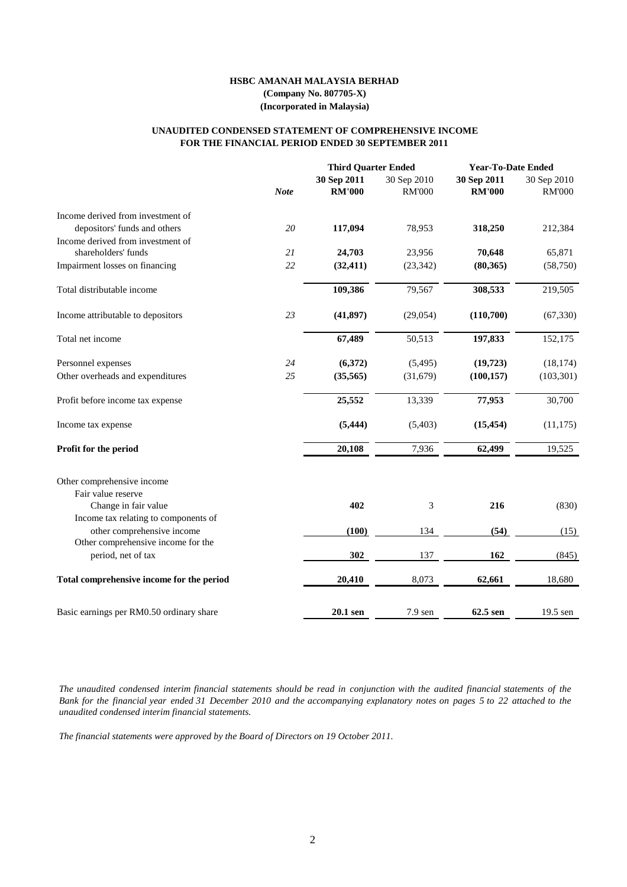#### **FOR THE FINANCIAL PERIOD ENDED 30 SEPTEMBER 2011 UNAUDITED CONDENSED STATEMENT OF COMPREHENSIVE INCOME**

|                                           |             | <b>Third Quarter Ended</b>   |                              | <b>Year-To-Date Ended</b>    |                              |
|-------------------------------------------|-------------|------------------------------|------------------------------|------------------------------|------------------------------|
|                                           | <b>Note</b> | 30 Sep 2011<br><b>RM'000</b> | 30 Sep 2010<br><b>RM'000</b> | 30 Sep 2011<br><b>RM'000</b> | 30 Sep 2010<br><b>RM'000</b> |
| Income derived from investment of         |             |                              |                              |                              |                              |
| depositors' funds and others              | 20          | 117,094                      | 78,953                       | 318,250                      | 212,384                      |
| Income derived from investment of         |             |                              |                              |                              |                              |
| shareholders' funds                       | 21          | 24,703                       | 23,956                       | 70,648                       | 65,871                       |
| Impairment losses on financing            | 22          | (32, 411)                    | (23, 342)                    | (80, 365)                    | (58,750)                     |
| Total distributable income                |             | 109,386                      | 79,567                       | 308,533                      | 219,505                      |
| Income attributable to depositors         | 23          | (41, 897)                    | (29, 054)                    | (110,700)                    | (67, 330)                    |
| Total net income                          |             | 67,489                       | 50,513                       | 197,833                      | 152,175                      |
| Personnel expenses                        | 24          | (6,372)                      | (5,495)                      | (19,723)                     | (18, 174)                    |
| Other overheads and expenditures          | 25          | (35,565)                     | (31,679)                     | (100, 157)                   | (103, 301)                   |
| Profit before income tax expense          |             | 25,552                       | 13,339                       | 77,953                       | 30,700                       |
| Income tax expense                        |             | (5, 444)                     | (5,403)                      | (15, 454)                    | (11, 175)                    |
| Profit for the period                     |             | 20,108                       | 7,936                        | 62,499                       | 19,525                       |
| Other comprehensive income                |             |                              |                              |                              |                              |
| Fair value reserve                        |             |                              |                              |                              |                              |
| Change in fair value                      |             | 402                          | 3                            | 216                          | (830)                        |
| Income tax relating to components of      |             |                              |                              |                              |                              |
| other comprehensive income                |             | (100)                        | 134                          | (54)                         | (15)                         |
| Other comprehensive income for the        |             |                              |                              |                              |                              |
| period, net of tax                        |             | 302                          | 137                          | 162                          | (845)                        |
| Total comprehensive income for the period |             | 20,410                       | 8,073                        | 62,661                       | 18,680                       |
| Basic earnings per RM0.50 ordinary share  |             | 20.1 sen                     | $7.9$ sen                    | 62.5 sen                     | 19.5 sen                     |

The unaudited condensed interim financial statements should be read in conjunction with the audited financial statements of the Bank for the financial year ended 31 December 2010 and the accompanying explanatory notes on pages 5 to 22 attached to the *unaudited condensed interim financial statements.*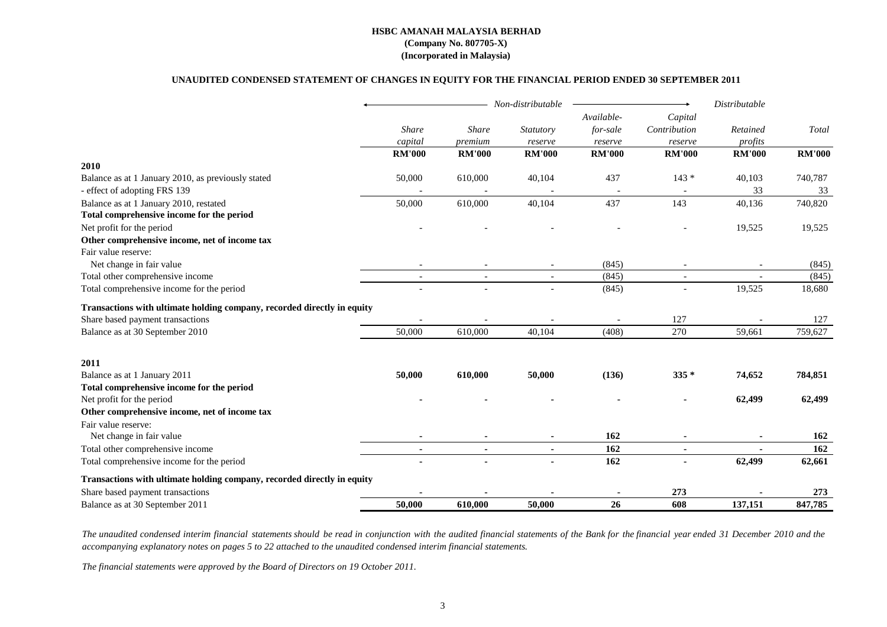#### **UNAUDITED CONDENSED STATEMENT OF CHANGES IN EQUITY FOR THE FINANCIAL PERIOD ENDED 30 SEPTEMBER 2011**

|                                                                         |               | Non-distributable |                          | Distributable |                |               |               |
|-------------------------------------------------------------------------|---------------|-------------------|--------------------------|---------------|----------------|---------------|---------------|
|                                                                         |               |                   |                          | Available-    | Capital        |               |               |
|                                                                         | Share         | <b>Share</b>      | Statutory                | for-sale      | Contribution   | Retained      | Total         |
|                                                                         | capital       | premium           | reserve                  | reserve       | reserve        | profits       |               |
|                                                                         | <b>RM'000</b> | <b>RM'000</b>     | <b>RM'000</b>            | <b>RM'000</b> | <b>RM'000</b>  | <b>RM'000</b> | <b>RM'000</b> |
| 2010                                                                    |               |                   |                          |               |                |               |               |
| Balance as at 1 January 2010, as previously stated                      | 50,000        | 610,000           | 40,104                   | 437           | $143*$         | 40,103        | 740,787       |
| - effect of adopting FRS 139                                            |               |                   |                          |               |                | 33            | 33            |
| Balance as at 1 January 2010, restated                                  | 50,000        | 610,000           | 40,104                   | 437           | 143            | 40,136        | 740,820       |
| Total comprehensive income for the period                               |               |                   |                          |               |                |               |               |
| Net profit for the period                                               |               |                   |                          |               |                | 19,525        | 19,525        |
| Other comprehensive income, net of income tax                           |               |                   |                          |               |                |               |               |
| Fair value reserve:                                                     |               |                   |                          |               |                |               |               |
| Net change in fair value                                                |               |                   |                          | (845)         |                |               | (845)         |
| Total other comprehensive income                                        |               |                   | $\overline{\phantom{a}}$ | (845)         | $\blacksquare$ |               | (845)         |
| Total comprehensive income for the period                               |               | $\overline{a}$    | $\overline{a}$           | (845)         |                | 19,525        | 18,680        |
| Transactions with ultimate holding company, recorded directly in equity |               |                   |                          |               |                |               |               |
| Share based payment transactions                                        |               |                   |                          |               | 127            |               | 127           |
| Balance as at 30 September 2010                                         | 50,000        | 610,000           | 40,104                   | (408)         | 270            | 59,661        | 759,627       |
| 2011                                                                    |               |                   |                          |               |                |               |               |
| Balance as at 1 January 2011                                            | 50,000        | 610,000           | 50,000                   | (136)         | $335*$         | 74,652        | 784,851       |
| Total comprehensive income for the period                               |               |                   |                          |               |                |               |               |
| Net profit for the period                                               |               |                   |                          |               |                | 62,499        | 62,499        |
| Other comprehensive income, net of income tax                           |               |                   |                          |               |                |               |               |
| Fair value reserve:                                                     |               |                   |                          |               |                |               |               |
| Net change in fair value                                                |               |                   |                          | 162           |                |               | 162           |
| Total other comprehensive income                                        | $\sim$        | $\sim$            | $\blacksquare$           | 162           | $\blacksquare$ |               | 162           |
| Total comprehensive income for the period                               |               |                   |                          | 162           |                | 62,499        | 62,661        |
| Transactions with ultimate holding company, recorded directly in equity |               |                   |                          |               |                |               |               |
| Share based payment transactions                                        |               |                   |                          |               | 273            |               | 273           |
| Balance as at 30 September 2011                                         | 50,000        | 610,000           | 50,000                   | 26            | 608            | 137,151       | 847,785       |

The unaudited condensed interim financial statements should be read in conjunction with the audited financial statements of the Bank for the financial year ended 31 December 2010 and the *accompanying explanatory notes on pages 5 to 22 attached to the unaudited condensed interim financial statements.*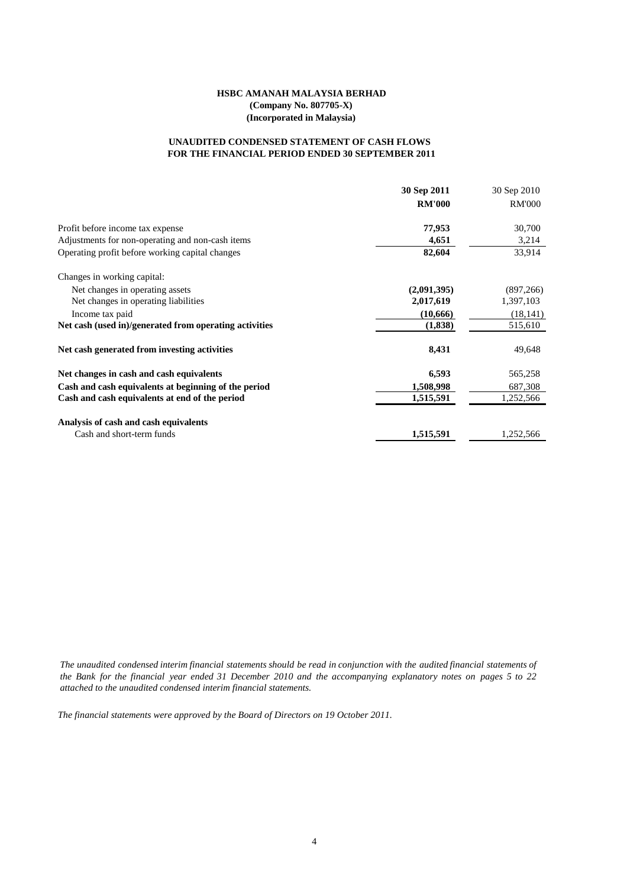#### **FOR THE FINANCIAL PERIOD ENDED 30 SEPTEMBER 2011 UNAUDITED CONDENSED STATEMENT OF CASH FLOWS**

|                                                        | 30 Sep 2011   | 30 Sep 2010   |
|--------------------------------------------------------|---------------|---------------|
|                                                        | <b>RM'000</b> | <b>RM'000</b> |
| Profit before income tax expense                       | 77,953        | 30,700        |
| Adjustments for non-operating and non-cash items       | 4,651         | 3,214         |
| Operating profit before working capital changes        | 82,604        | 33,914        |
| Changes in working capital:                            |               |               |
| Net changes in operating assets                        | (2,091,395)   | (897, 266)    |
| Net changes in operating liabilities                   | 2,017,619     | 1,397,103     |
| Income tax paid                                        | (10,666)      | (18, 141)     |
| Net cash (used in)/generated from operating activities | (1,838)       | 515,610       |
| Net cash generated from investing activities           | 8,431         | 49,648        |
| Net changes in cash and cash equivalents               | 6,593         | 565,258       |
| Cash and cash equivalents at beginning of the period   | 1,508,998     | 687,308       |
| Cash and cash equivalents at end of the period         | 1,515,591     | 1,252,566     |
| Analysis of cash and cash equivalents                  |               |               |
| Cash and short-term funds                              | 1,515,591     | 1,252,566     |

The unaudited condensed interim financial statements should be read in conjunction with the audited financial statements of the Bank for the financial year ended 31 December 2010 and the accompanying explanatory notes on pages 5 to 22 *attached to the unaudited condensed interim financial statements.*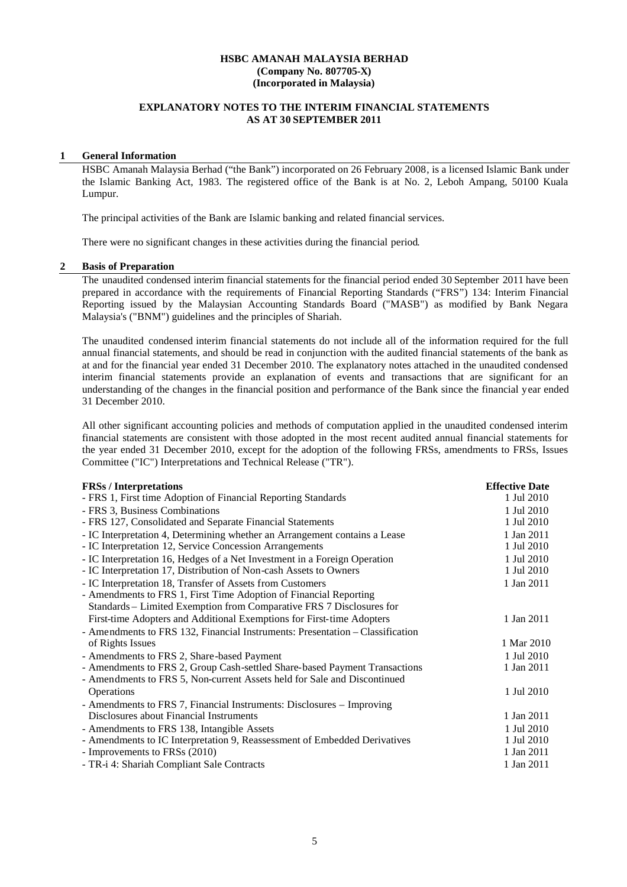## **EXPLANATORY NOTES TO THE INTERIM FINANCIAL STATEMENTS AS AT 30 SEPTEMBER 2011**

#### **1 General Information**

HSBC Amanah Malaysia Berhad ("the Bank") incorporated on 26 February 2008, is a licensed Islamic Bank under the Islamic Banking Act, 1983. The registered office of the Bank is at No. 2, Leboh Ampang, 50100 Kuala Lumpur.

The principal activities of the Bank are Islamic banking and related financial services.

There were no significant changes in these activities during the financial period.

#### **2 Basis of Preparation**

The unaudited condensed interim financial statements for the financial period ended 30 September 2011 have been prepared in accordance with the requirements of Financial Reporting Standards ("FRS") 134: Interim Financial Reporting issued by the Malaysian Accounting Standards Board ("MASB") as modified by Bank Negara Malaysia's ("BNM") guidelines and the principles of Shariah.

The unaudited condensed interim financial statements do not include all of the information required for the full annual financial statements, and should be read in conjunction with the audited financial statements of the bank as at and for the financial year ended 31 December 2010. The explanatory notes attached in the unaudited condensed interim financial statements provide an explanation of events and transactions that are significant for an understanding of the changes in the financial position and performance of the Bank since the financial year ended 31 December 2010.

All other significant accounting policies and methods of computation applied in the unaudited condensed interim financial statements are consistent with those adopted in the most recent audited annual financial statements for the year ended 31 December 2010, except for the adoption of the following FRSs, amendments to FRSs, Issues Committee ("IC") Interpretations and Technical Release ("TR").

| <b>FRSs</b> / Interpretations                                                 | <b>Effective Date</b> |
|-------------------------------------------------------------------------------|-----------------------|
| - FRS 1, First time Adoption of Financial Reporting Standards                 | 1 Jul 2010            |
| - FRS 3, Business Combinations                                                | 1 Jul 2010            |
| - FRS 127, Consolidated and Separate Financial Statements                     | 1 Jul 2010            |
| - IC Interpretation 4, Determining whether an Arrangement contains a Lease    | 1 Jan 2011            |
| - IC Interpretation 12, Service Concession Arrangements                       | 1 Jul 2010            |
| - IC Interpretation 16, Hedges of a Net Investment in a Foreign Operation     | 1 Jul 2010            |
| - IC Interpretation 17, Distribution of Non-cash Assets to Owners             | 1 Jul 2010            |
| - IC Interpretation 18, Transfer of Assets from Customers                     | 1 Jan 2011            |
| - Amendments to FRS 1, First Time Adoption of Financial Reporting             |                       |
| Standards – Limited Exemption from Comparative FRS 7 Disclosures for          |                       |
| First-time Adopters and Additional Exemptions for First-time Adopters         | 1 Jan 2011            |
| - Amendments to FRS 132, Financial Instruments: Presentation - Classification |                       |
| of Rights Issues                                                              | 1 Mar 2010            |
| - Amendments to FRS 2, Share-based Payment                                    | 1 Jul 2010            |
| - Amendments to FRS 2, Group Cash-settled Share-based Payment Transactions    | 1 Jan 2011            |
| - Amendments to FRS 5, Non-current Assets held for Sale and Discontinued      |                       |
| Operations                                                                    | 1 Jul 2010            |
| - Amendments to FRS 7, Financial Instruments: Disclosures – Improving         |                       |
| Disclosures about Financial Instruments                                       | 1 Jan 2011            |
| - Amendments to FRS 138, Intangible Assets                                    | 1 Jul 2010            |
| - Amendments to IC Interpretation 9, Reassessment of Embedded Derivatives     | 1 Jul 2010            |
| - Improvements to FRSs (2010)                                                 | 1 Jan 2011            |
| - TR-i 4: Shariah Compliant Sale Contracts                                    | 1 Jan 2011            |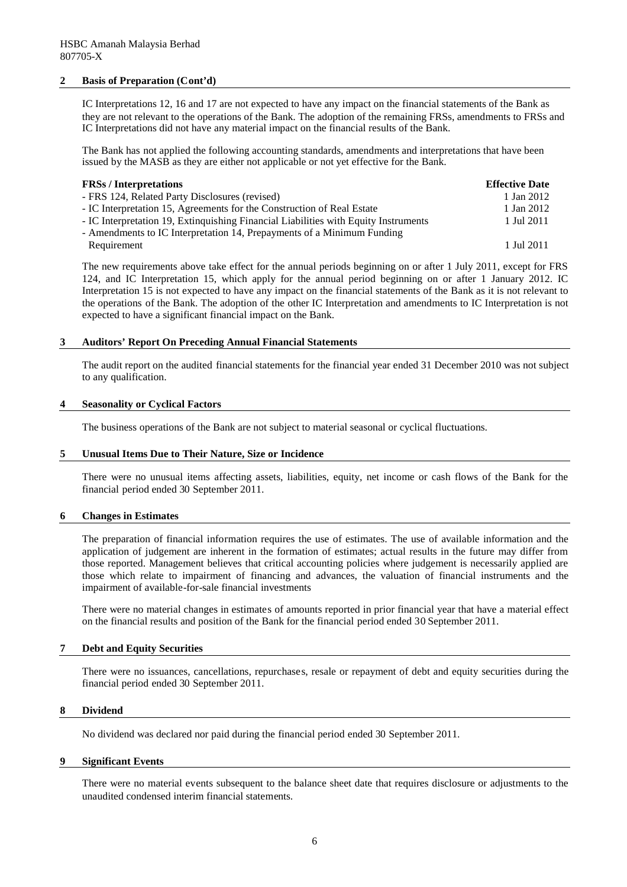#### **2 Basis of Preparation (Cont'd)**

IC Interpretations 12, 16 and 17 are not expected to have any impact on the financial statements of the Bank as they are not relevant to the operations of the Bank. The adoption of the remaining FRSs, amendments to FRSs and IC Interpretations did not have any material impact on the financial results of the Bank.

The Bank has not applied the following accounting standards, amendments and interpretations that have been issued by the MASB as they are either not applicable or not yet effective for the Bank.

| <b>FRSs</b> / Interpretations                                                       | <b>Effective Date</b> |
|-------------------------------------------------------------------------------------|-----------------------|
| - FRS 124, Related Party Disclosures (revised)                                      | 1 Jan 2012            |
| - IC Interpretation 15, Agreements for the Construction of Real Estate              | 1 Jan 2012            |
| - IC Interpretation 19, Extinquishing Financial Liabilities with Equity Instruments | 1 Jul 2011            |
| - Amendments to IC Interpretation 14, Prepayments of a Minimum Funding              |                       |
| Requirement                                                                         | 1 Jul 2011            |

The new requirements above take effect for the annual periods beginning on or after 1 July 2011, except for FRS 124, and IC Interpretation 15, which apply for the annual period beginning on or after 1 January 2012. IC Interpretation 15 is not expected to have any impact on the financial statements of the Bank as it is not relevant to the operations of the Bank. The adoption of the other IC Interpretation and amendments to IC Interpretation is not expected to have a significant financial impact on the Bank.

#### **3 Auditors' Report On Preceding Annual Financial Statements**

The audit report on the audited financial statements for the financial year ended 31 December 2010 was not subject to any qualification.

#### **4 Seasonality or Cyclical Factors**

The business operations of the Bank are not subject to material seasonal or cyclical fluctuations.

#### **5 Unusual Items Due to Their Nature, Size or Incidence**

There were no unusual items affecting assets, liabilities, equity, net income or cash flows of the Bank for the financial period ended 30 September 2011.

#### **6 Changes in Estimates**

The preparation of financial information requires the use of estimates. The use of available information and the application of judgement are inherent in the formation of estimates; actual results in the future may differ from those reported. Management believes that critical accounting policies where judgement is necessarily applied are those which relate to impairment of financing and advances, the valuation of financial instruments and the impairment of available-for-sale financial investments

There were no material changes in estimates of amounts reported in prior financial year that have a material effect on the financial results and position of the Bank for the financial period ended 30 September 2011.

#### **7 Debt and Equity Securities**

There were no issuances, cancellations, repurchases, resale or repayment of debt and equity securities during the financial period ended 30 September 2011.

#### **8 Dividend**

No dividend was declared nor paid during the financial period ended 30 September 2011.

#### **9 Significant Events**

There were no material events subsequent to the balance sheet date that requires disclosure or adjustments to the unaudited condensed interim financial statements.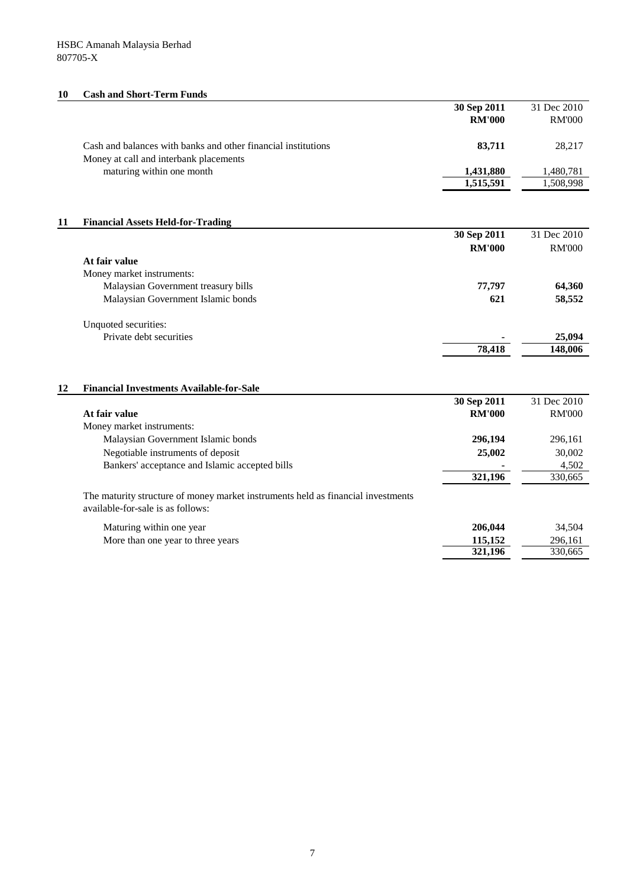# **10 Cash and Short-Term Funds**

|    |                                                                                  | 30 Sep 2011        | 31 Dec 2010        |
|----|----------------------------------------------------------------------------------|--------------------|--------------------|
|    |                                                                                  | <b>RM'000</b>      | <b>RM'000</b>      |
|    |                                                                                  |                    |                    |
|    | Cash and balances with banks and other financial institutions                    | 83,711             | 28,217             |
|    | Money at call and interbank placements                                           |                    |                    |
|    | maturing within one month                                                        | 1,431,880          | 1,480,781          |
|    |                                                                                  | 1,515,591          | 1,508,998          |
|    |                                                                                  |                    |                    |
|    |                                                                                  |                    |                    |
| 11 | <b>Financial Assets Held-for-Trading</b>                                         |                    |                    |
|    |                                                                                  | 30 Sep 2011        | 31 Dec 2010        |
|    |                                                                                  | <b>RM'000</b>      | <b>RM'000</b>      |
|    | At fair value                                                                    |                    |                    |
|    | Money market instruments:                                                        |                    |                    |
|    | Malaysian Government treasury bills                                              | 77,797             | 64,360             |
|    | Malaysian Government Islamic bonds                                               | 621                | 58,552             |
|    |                                                                                  |                    |                    |
|    | Unquoted securities:                                                             |                    |                    |
|    | Private debt securities                                                          |                    | 25,094             |
|    |                                                                                  | 78,418             | 148,006            |
|    |                                                                                  |                    |                    |
|    |                                                                                  |                    |                    |
| 12 | <b>Financial Investments Available-for-Sale</b>                                  |                    |                    |
|    |                                                                                  | 30 Sep 2011        | 31 Dec 2010        |
|    | At fair value                                                                    | <b>RM'000</b>      | <b>RM'000</b>      |
|    | Money market instruments:                                                        |                    |                    |
|    | Malaysian Government Islamic bonds                                               | 296,194            | 296,161            |
|    | Negotiable instruments of deposit                                                | 25,002             | 30,002             |
|    | Bankers' acceptance and Islamic accepted bills                                   |                    | 4,502              |
|    |                                                                                  | 321,196            | 330,665            |
|    | The maturity structure of money market instruments held as financial investments |                    |                    |
|    | available-for-sale is as follows:                                                |                    |                    |
|    |                                                                                  |                    |                    |
|    | Maturing within one year                                                         | 206,044            | 34,504             |
|    | More than one year to three years                                                | 115,152<br>321,196 | 296,161<br>330,665 |
|    |                                                                                  |                    |                    |
|    |                                                                                  |                    |                    |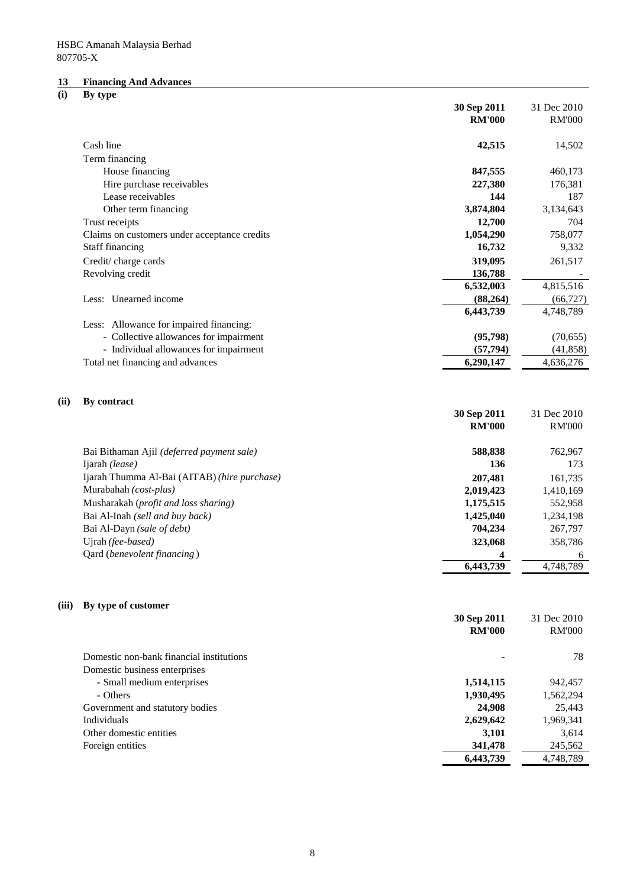# **13 Financing And Advances**

# **(i) By type**

|       |                                                                                                             | 30 Sep 2011                                               | 31 Dec 2010                                               |
|-------|-------------------------------------------------------------------------------------------------------------|-----------------------------------------------------------|-----------------------------------------------------------|
|       |                                                                                                             | <b>RM'000</b>                                             | <b>RM'000</b>                                             |
|       |                                                                                                             |                                                           |                                                           |
|       | Cash line                                                                                                   | 42,515                                                    | 14,502                                                    |
|       | Term financing                                                                                              |                                                           |                                                           |
|       | House financing                                                                                             | 847,555                                                   | 460,173                                                   |
|       | Hire purchase receivables                                                                                   | 227,380                                                   | 176,381                                                   |
|       | Lease receivables                                                                                           | 144                                                       | 187                                                       |
|       | Other term financing                                                                                        | 3,874,804                                                 | 3,134,643                                                 |
|       | Trust receipts                                                                                              | 12,700                                                    | 704                                                       |
|       | Claims on customers under acceptance credits                                                                | 1,054,290                                                 | 758,077                                                   |
|       | Staff financing                                                                                             | 16,732                                                    | 9,332                                                     |
|       | Credit/charge cards                                                                                         | 319,095                                                   | 261,517                                                   |
|       | Revolving credit                                                                                            | 136,788                                                   |                                                           |
|       |                                                                                                             | 6,532,003                                                 | 4,815,516                                                 |
|       | Less: Unearned income                                                                                       | (88, 264)                                                 | (66, 727)                                                 |
|       |                                                                                                             | 6,443,739                                                 | 4,748,789                                                 |
|       | Less: Allowance for impaired financing:                                                                     |                                                           |                                                           |
|       | - Collective allowances for impairment                                                                      | (95, 798)                                                 | (70, 655)                                                 |
|       | - Individual allowances for impairment                                                                      | (57, 794)                                                 | (41, 858)                                                 |
|       | Total net financing and advances                                                                            | 6,290,147                                                 | 4,636,276                                                 |
|       | Bai Bithaman Ajil (deferred payment sale)<br>Ijarah (lease)<br>Ijarah Thumma Al-Bai (AITAB) (hire purchase) | 30 Sep 2011<br><b>RM'000</b><br>588,838<br>136<br>207,481 | 31 Dec 2010<br><b>RM'000</b><br>762,967<br>173<br>161,735 |
|       | Murabahah (cost-plus)                                                                                       | 2,019,423                                                 | 1,410,169                                                 |
|       | Musharakah (profit and loss sharing)                                                                        | 1,175,515                                                 | 552,958                                                   |
|       | Bai Al-Inah (sell and buy back)                                                                             | 1,425,040                                                 | 1,234,198                                                 |
|       | Bai Al-Dayn (sale of debt)                                                                                  | 704,234                                                   | 267,797                                                   |
|       | Ujrah (fee-based)                                                                                           | 323,068                                                   | 358,786                                                   |
|       | Qard (benevolent financing)                                                                                 | 6,443,739                                                 | 6<br>4,748,789                                            |
|       |                                                                                                             |                                                           |                                                           |
| (iii) | By type of customer                                                                                         | 30 Sep 2011<br><b>RM'000</b>                              | 31 Dec 2010<br><b>RM'000</b>                              |
|       | Domestic non-bank financial institutions                                                                    |                                                           | 78                                                        |
|       | Domestic business enterprises                                                                               |                                                           |                                                           |
|       | - Small medium enterprises                                                                                  | 1,514,115                                                 | 942,457                                                   |
|       | - Others                                                                                                    | 1,930,495                                                 | 1,562,294                                                 |
|       | Government and statutory bodies                                                                             | 24,908                                                    | 25,443                                                    |
|       | Individuals                                                                                                 | 2,629,642                                                 | 1,969,341                                                 |
|       | Other domestic entities                                                                                     | 3,101                                                     | 3,614                                                     |
|       | Foreign entities                                                                                            | 341,478                                                   | 245,562                                                   |

Foreign entities **341,478** 245,562<br>6,443,739  $\overline{)41,478}$  245,562

 $\overline{6,443,739}$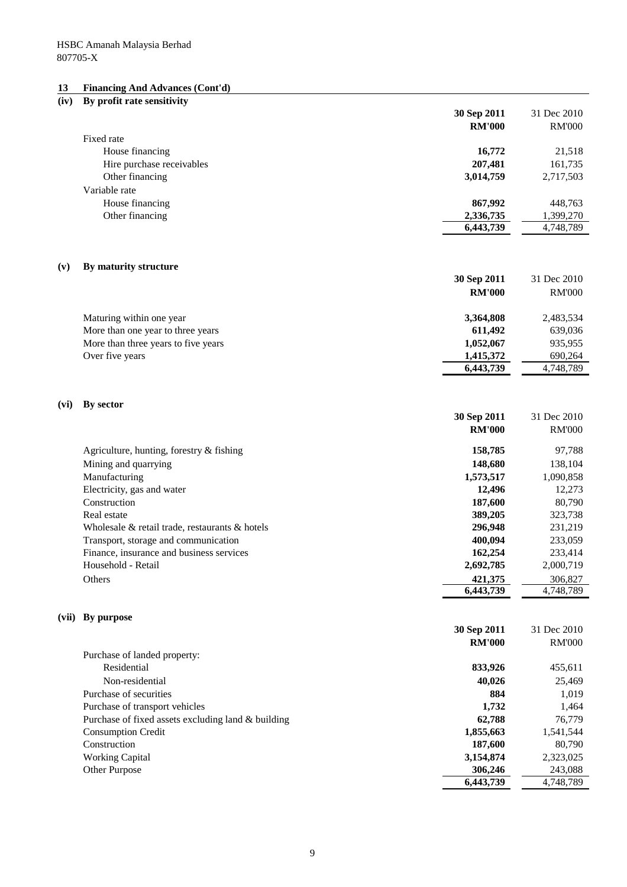#### **13 Financing And Advances (Cont'd)**

# **(iv) By profit rate sensitivity 30 Sep 2011** 31 Dec 2010 **RM'000** RM'000 Fixed rate House financing **16,772** 21,518 Hire purchase receivables **207,481** 161,735 Other financing **3,014,759** 2,717,503 Variable rate House financing **867,992** 448,763 Other financing **2,336,735** 1,399,270 **6,443,739** 4,748,789 **(v) By maturity structure 30 Sep 2011** 31 Dec 2010 **RM'000** RM'000 Maturing within one year **3,364,808** 2,483,534 More than one year to three years **611,492** 639,036 More than three years to five years **1,052,067** 935,955 Over five years **1,415,372** 690,264 **6,443,739** 4,748,789 **(vi) By sector 30 Sep 2011** 31 Dec 2010 **RM'000** RM'000 Agriculture, hunting, forestry & fishing **158,785** 97,788 Mining and quarrying **148,680** 138,104 Manufacturing **1,573,517** 1,090,858 Electricity, gas and water **12,273** 12,496 12,273 Construction **187,600** 80,790 Real estate **389,205** 323,738 Wholesale & retail trade, restaurants & hotels **296,948** 231,219 Transport, storage and communication **400,094** 233,059 Finance, insurance and business services **162,254** 233,414 Household - Retail **2,692,785** 2,000,719 Others **421,375** 306,827 **6,443,739** 4,748,789 **(vii) By purpose 30 Sep 2011** 31 Dec 2010 **RM'000** RM'000 Purchase of landed property: Residential **833,926** 455,611 Non-residential **40,026** 25,469 Purchase of securities **884** 1,019 Purchase of transport vehicles **1,732** 1,464 Purchase of fixed assets excluding land & building **62,788** 62,788 76,779 Consumption Credit **1,855,663** 1,541,544 Construction **187,600** 80,790 Working Capital **3,154,874** 2,323,025 Other Purpose 243,088 **6,443,739** 4,748,789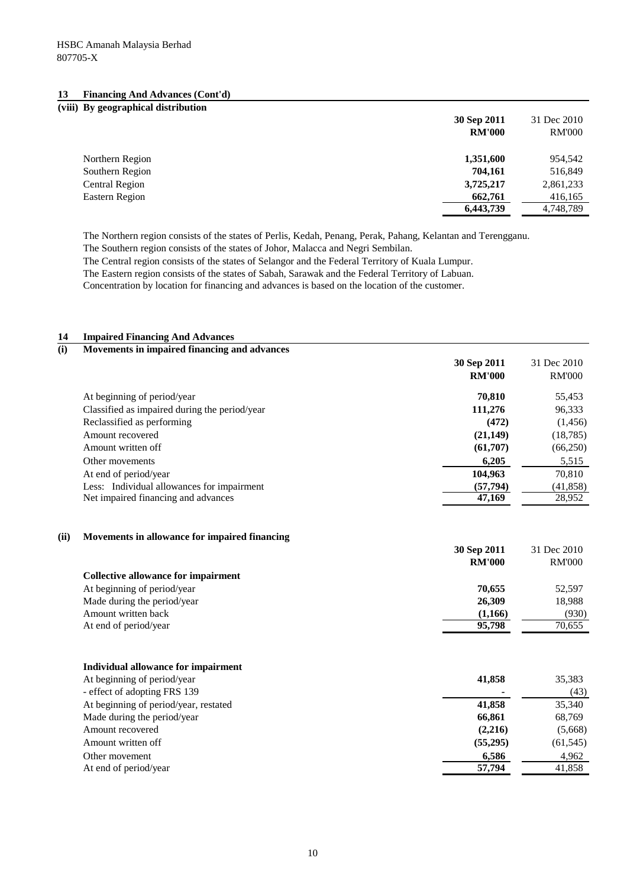#### **13 Financing And Advances (Cont'd)**

| (viii) By geographical distribution |               |               |
|-------------------------------------|---------------|---------------|
|                                     | 30 Sep 2011   | 31 Dec 2010   |
|                                     | <b>RM'000</b> | <b>RM'000</b> |
| Northern Region                     | 1,351,600     | 954,542       |
| Southern Region                     | 704.161       | 516,849       |
| Central Region                      | 3,725,217     | 2,861,233     |
| Eastern Region                      | 662,761       | 416,165       |
|                                     | 6,443,739     | 4,748,789     |

The Northern region consists of the states of Perlis, Kedah, Penang, Perak, Pahang, Kelantan and Terengganu.

The Southern region consists of the states of Johor, Malacca and Negri Sembilan.

The Central region consists of the states of Selangor and the Federal Territory of Kuala Lumpur.

The Eastern region consists of the states of Sabah, Sarawak and the Federal Territory of Labuan.

Concentration by location for financing and advances is based on the location of the customer.

| 14  | <b>Impaired Financing And Advances</b>        |                              |                              |
|-----|-----------------------------------------------|------------------------------|------------------------------|
| (i) | Movements in impaired financing and advances  |                              |                              |
|     |                                               | 30 Sep 2011                  | 31 Dec 2010                  |
|     |                                               | <b>RM'000</b>                | <b>RM'000</b>                |
|     | At beginning of period/year                   | 70,810                       | 55,453                       |
|     | Classified as impaired during the period/year | 111,276                      | 96,333                       |
|     | Reclassified as performing                    | (472)                        | (1,456)                      |
|     | Amount recovered                              | (21, 149)                    | (18, 785)                    |
|     | Amount written off                            | (61,707)                     | (66,250)                     |
|     | Other movements                               | 6,205                        | 5,515                        |
|     | At end of period/year                         | 104,963                      | 70,810                       |
|     | Less: Individual allowances for impairment    | (57, 794)                    | (41, 858)                    |
|     | Net impaired financing and advances           | 47,169                       | 28,952                       |
|     | <b>Collective allowance for impairment</b>    | 30 Sep 2011<br><b>RM'000</b> | 31 Dec 2010<br><b>RM'000</b> |
|     | At beginning of period/year                   | 70,655                       | 52,597                       |
|     | Made during the period/year                   | 26,309                       | 18,988                       |
|     | Amount written back                           | (1,166)                      | (930)                        |
|     | At end of period/year                         | 95,798                       | 70,655                       |
|     | Individual allowance for impairment           |                              |                              |
|     | At beginning of period/year                   | 41,858                       | 35,383                       |
|     | - effect of adopting FRS 139                  |                              | (43)                         |
|     | At beginning of period/year, restated         | 41,858                       | 35,340                       |
|     | Made during the period/year                   | 66,861                       | 68,769                       |
|     | Amount recovered                              | (2,216)                      | (5,668)                      |
|     | Amount written off                            | (55,295)                     | (61, 545)                    |
|     | Other movement                                | 6,586                        | 4,962                        |
|     | At end of period/year                         | 57,794                       | 41,858                       |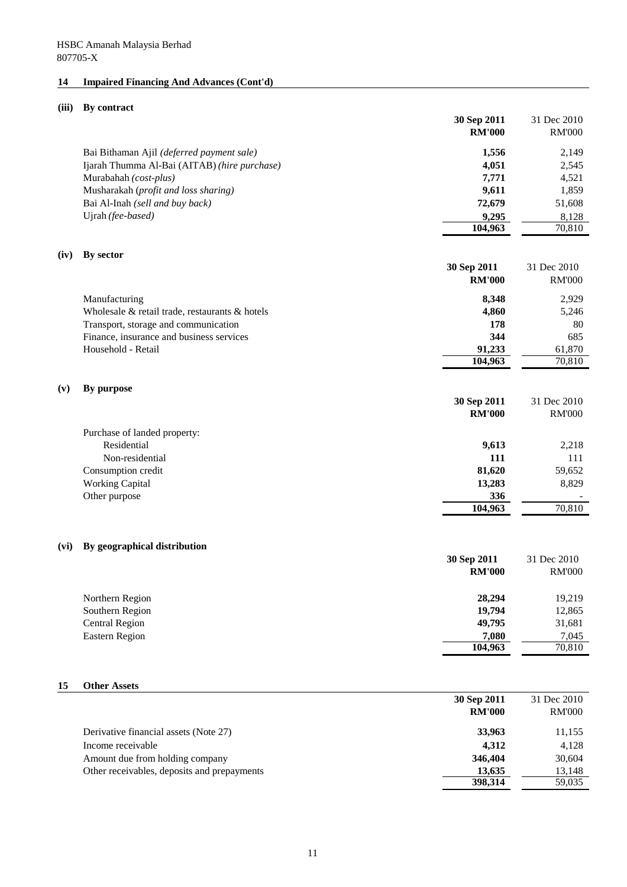# **14 Impaired Financing And Advances (Cont'd)**

# **(iii) By contract**

|      |                                                | 30 Sep 2011<br><b>RM'000</b> | 31 Dec 2010<br><b>RM'000</b> |
|------|------------------------------------------------|------------------------------|------------------------------|
|      | Bai Bithaman Ajil (deferred payment sale)      | 1,556                        | 2,149                        |
|      | Ijarah Thumma Al-Bai (AITAB) (hire purchase)   | 4,051                        | 2,545                        |
|      | Murabahah (cost-plus)                          | 7,771                        | 4,521                        |
|      | Musharakah (profit and loss sharing)           | 9,611                        | 1,859                        |
|      | Bai Al-Inah (sell and buy back)                | 72,679                       | 51,608                       |
|      | Ujrah (fee-based)                              | 9,295                        | 8,128                        |
|      |                                                | 104,963                      | 70,810                       |
| (iv) | By sector                                      | 30 Sep 2011<br><b>RM'000</b> | 31 Dec 2010<br><b>RM'000</b> |
|      |                                                |                              |                              |
|      | Manufacturing                                  | 8,348                        | 2,929                        |
|      | Wholesale & retail trade, restaurants & hotels | 4,860                        | 5,246                        |
|      | Transport, storage and communication           | 178                          | 80                           |
|      | Finance, insurance and business services       | 344                          | 685                          |
|      | Household - Retail                             | 91,233<br>104,963            | 61,870<br>70,810             |
|      |                                                |                              |                              |
| (v)  | By purpose                                     |                              |                              |
|      |                                                | 30 Sep 2011<br><b>RM'000</b> | 31 Dec 2010<br><b>RM'000</b> |
|      | Purchase of landed property:                   |                              |                              |
|      | Residential                                    | 9,613                        | 2,218                        |
|      | Non-residential                                | 111                          | 111                          |
|      | Consumption credit                             | 81,620                       | 59,652                       |
|      | <b>Working Capital</b>                         | 13,283                       | 8,829                        |
|      | Other purpose                                  | 336                          |                              |
|      |                                                | 104,963                      | 70,810                       |
| (vi) | By geographical distribution                   |                              |                              |
|      |                                                | 30 Sep 2011                  | 31 Dec 2010                  |
|      |                                                | <b>RM'000</b>                | <b>RM'000</b>                |
|      | Northern Region                                | 28,294                       | 19,219                       |
|      | Southern Region                                | 19,794                       | 12,865                       |
|      | <b>Central Region</b>                          | 49,795                       | 31,681                       |
|      | <b>Eastern Region</b>                          | 7,080                        | 7,045                        |
|      |                                                | 104,963                      | 70,810                       |
| 15   | <b>Other Assets</b>                            |                              |                              |
|      |                                                | 30 Sep 2011                  | 31 Dec 2010                  |
|      |                                                | <b>RM'000</b>                | <b>RM'000</b>                |
|      | Derivative financial assets (Note 27)          | 33,963                       | 11,155                       |
|      | Income receivable                              | 4,312                        | 4,128                        |
|      | Amount due from holding company                | 346,404                      | 30,604                       |
|      | Other receivables, deposits and prepayments    | 13,635                       | 13,148                       |
|      |                                                | 398,314                      | 59,035                       |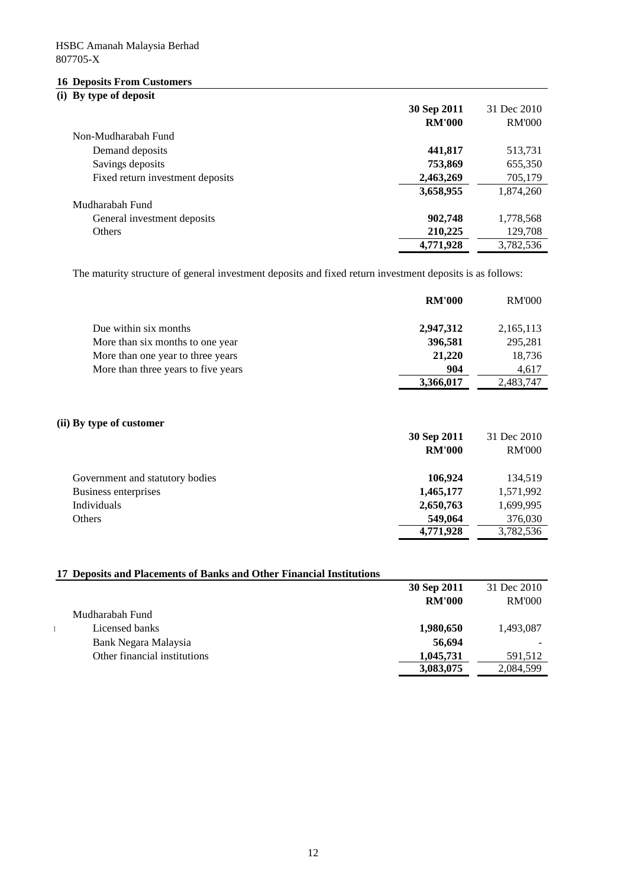# **16 Deposits From Customers**

# **(i) By type of deposit**

|                                  | 30 Sep 2011   | 31 Dec 2010   |
|----------------------------------|---------------|---------------|
|                                  | <b>RM'000</b> | <b>RM'000</b> |
| Non-Mudharabah Fund              |               |               |
| Demand deposits                  | 441,817       | 513,731       |
| Savings deposits                 | 753,869       | 655,350       |
| Fixed return investment deposits | 2,463,269     | 705,179       |
|                                  | 3,658,955     | 1,874,260     |
| Mudharabah Fund                  |               |               |
| General investment deposits      | 902,748       | 1,778,568     |
| <b>Others</b>                    | 210,225       | 129,708       |
|                                  | 4,771,928     | 3,782,536     |

The maturity structure of general investment deposits and fixed return investment deposits is as follows:

|                                     | <b>RM'000</b> | <b>RM'000</b> |
|-------------------------------------|---------------|---------------|
| Due within six months               | 2,947,312     | 2,165,113     |
| More than six months to one year    | 396,581       | 295,281       |
| More than one year to three years   | 21,220        | 18,736        |
| More than three years to five years | 904           | 4,617         |
|                                     | 3,366,017     | 2,483,747     |

## **(ii) By type of customer**

|                                 | 30 Sep 2011   | 31 Dec 2010   |
|---------------------------------|---------------|---------------|
|                                 | <b>RM'000</b> | <b>RM'000</b> |
| Government and statutory bodies | 106.924       | 134.519       |
| Business enterprises            | 1,465,177     | 1,571,992     |
| Individuals                     | 2,650,763     | 1,699,995     |
| Others                          | 549,064       | 376,030       |
|                                 | 4,771,928     | 3,782,536     |

# **17 Deposits and Placements of Banks and Other Financial Institutions**

| Mudharabah Fund<br>Licensed banks                    |                                                                                                                       |
|------------------------------------------------------|-----------------------------------------------------------------------------------------------------------------------|
|                                                      |                                                                                                                       |
| Bank Negara Malaysia<br>Other financial institutions | 30 Sep 2011 31 Dec 2010<br>RM'000 RM'000<br>1,980,650 1,493,087<br>56,694<br>1,045,731 591,512<br>3,083,075 2,084,599 |
|                                                      |                                                                                                                       |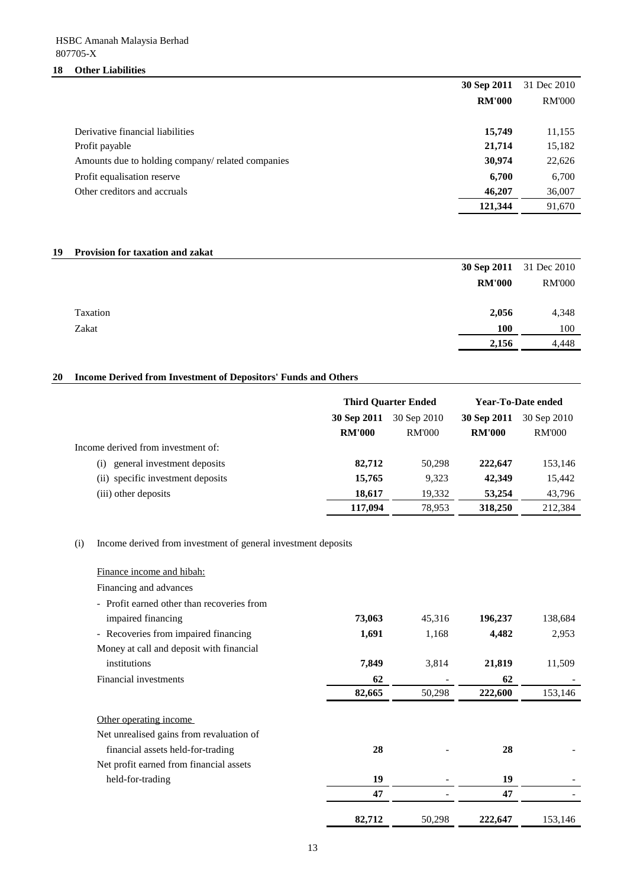# **18 Other Liabilities**

|                                                   | 30 Sep 2011   | 31 Dec 2010   |
|---------------------------------------------------|---------------|---------------|
|                                                   | <b>RM'000</b> | <b>RM'000</b> |
|                                                   |               |               |
| Derivative financial liabilities                  | 15,749        | 11,155        |
| Profit payable                                    | 21,714        | 15,182        |
| Amounts due to holding company/ related companies | 30,974        | 22,626        |
| Profit equalisation reserve                       | 6,700         | 6,700         |
| Other creditors and accruals                      | 46,207        | 36,007        |
|                                                   | 121,344       | 91,670        |

# **19 Provision for taxation and zakat**

|          |               | <b>30 Sep 2011</b> 31 Dec 2010 |
|----------|---------------|--------------------------------|
|          | <b>RM'000</b> | <b>RM'000</b>                  |
|          |               |                                |
| Taxation | 2,056         | 4,348                          |
| Zakat    | 100           | 100                            |
|          | 2,156         | 4,448                          |

# **20 Income Derived from Investment of Depositors' Funds and Others**

|                                                  | <b>Third Ouarter Ended</b> |               | Year-To-Date ended |               |
|--------------------------------------------------|----------------------------|---------------|--------------------|---------------|
|                                                  | 30 Sep 2011                | 30 Sep 2010   | 30 Sep 2011        | 30 Sep 2010   |
|                                                  | <b>RM'000</b>              | <b>RM'000</b> | <b>RM'000</b>      | <b>RM'000</b> |
| Income derived from investment of:               |                            |               |                    |               |
| general investment deposits<br>$\left( 1\right)$ | 82,712                     | 50.298        | 222,647            | 153,146       |
| (ii) specific investment deposits                | 15,765                     | 9,323         | 42,349             | 15,442        |
| (iii) other deposits                             | 18,617                     | 19,332        | 53,254             | 43,796        |
|                                                  | 117.094                    | 78.953        | 318,250            | 212,384       |

(i) Income derived from investment of general investment deposits

| Finance income and hibah:                                      |        |        |         |         |
|----------------------------------------------------------------|--------|--------|---------|---------|
| Financing and advances                                         |        |        |         |         |
| - Profit earned other than recoveries from                     |        |        |         |         |
| impaired financing                                             | 73,063 | 45,316 | 196,237 | 138,684 |
| Recoveries from impaired financing<br>$\overline{\phantom{a}}$ | 1,691  | 1,168  | 4,482   | 2,953   |
| Money at call and deposit with financial                       |        |        |         |         |
| institutions                                                   | 7,849  | 3,814  | 21,819  | 11,509  |
| Financial investments                                          | 62     |        | 62      |         |
|                                                                | 82,665 | 50,298 | 222,600 | 153,146 |
| Other operating income                                         |        |        |         |         |
| Net unrealised gains from revaluation of                       |        |        |         |         |
| financial assets held-for-trading                              | 28     |        | 28      |         |
| Net profit earned from financial assets                        |        |        |         |         |
| held-for-trading                                               | 19     |        | 19      |         |
|                                                                | 47     |        | 47      |         |
|                                                                | 82,712 | 50,298 | 222,647 | 153,146 |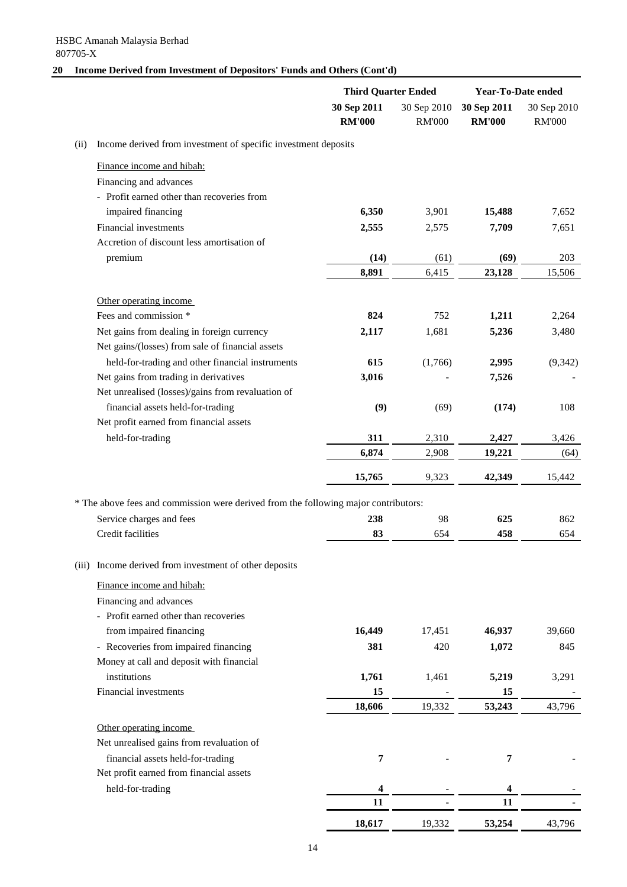# **20 Income Derived from Investment of Depositors' Funds and Others (Cont'd)**

|      |                                                                                     | <b>Third Quarter Ended</b>   |                              | <b>Year-To-Date ended</b>    |                              |
|------|-------------------------------------------------------------------------------------|------------------------------|------------------------------|------------------------------|------------------------------|
|      |                                                                                     | 30 Sep 2011<br><b>RM'000</b> | 30 Sep 2010<br><b>RM'000</b> | 30 Sep 2011<br><b>RM'000</b> | 30 Sep 2010<br><b>RM'000</b> |
| (ii) | Income derived from investment of specific investment deposits                      |                              |                              |                              |                              |
|      | Finance income and hibah:                                                           |                              |                              |                              |                              |
|      | Financing and advances                                                              |                              |                              |                              |                              |
|      | - Profit earned other than recoveries from                                          |                              |                              |                              |                              |
|      | impaired financing                                                                  | 6,350                        | 3,901                        | 15,488                       | 7,652                        |
|      | Financial investments                                                               | 2,555                        | 2,575                        | 7,709                        | 7,651                        |
|      | Accretion of discount less amortisation of                                          |                              |                              |                              |                              |
|      | premium                                                                             | (14)                         | (61)                         | (69)                         | 203                          |
|      |                                                                                     | 8,891                        | 6,415                        | 23,128                       | 15,506                       |
|      | Other operating income                                                              |                              |                              |                              |                              |
|      | Fees and commission *                                                               | 824                          | 752                          | 1,211                        | 2,264                        |
|      | Net gains from dealing in foreign currency                                          | 2,117                        | 1,681                        | 5,236                        | 3,480                        |
|      | Net gains/(losses) from sale of financial assets                                    |                              |                              |                              |                              |
|      | held-for-trading and other financial instruments                                    | 615                          | (1,766)                      | 2,995                        | (9, 342)                     |
|      | Net gains from trading in derivatives                                               | 3,016                        |                              | 7,526                        |                              |
|      | Net unrealised (losses)/gains from revaluation of                                   |                              |                              |                              |                              |
|      | financial assets held-for-trading                                                   | (9)                          | (69)                         | (174)                        | 108                          |
|      | Net profit earned from financial assets                                             |                              |                              |                              |                              |
|      | held-for-trading                                                                    | 311                          | 2,310                        | 2,427                        | 3,426                        |
|      |                                                                                     | 6,874                        | 2,908                        | 19,221                       | (64)                         |
|      |                                                                                     | 15,765                       | 9,323                        | 42,349                       | 15,442                       |
|      | * The above fees and commission were derived from the following major contributors: |                              |                              |                              |                              |
|      | Service charges and fees                                                            | 238                          | 98                           | 625                          | 862                          |
|      | Credit facilities                                                                   | 83                           | 654                          | 458                          | 654                          |
|      | (iii) Income derived from investment of other deposits                              |                              |                              |                              |                              |
|      |                                                                                     |                              |                              |                              |                              |
|      | Finance income and hibah:                                                           |                              |                              |                              |                              |
|      | Financing and advances<br>- Profit earned other than recoveries                     |                              |                              |                              |                              |
|      | from impaired financing                                                             | 16,449                       | 17,451                       | 46,937                       | 39,660                       |
|      | - Recoveries from impaired financing                                                | 381                          | 420                          | 1,072                        | 845                          |
|      | Money at call and deposit with financial                                            |                              |                              |                              |                              |
|      | institutions                                                                        | 1,761                        | 1,461                        | 5,219                        | 3,291                        |
|      | Financial investments                                                               | 15                           |                              | 15                           |                              |
|      |                                                                                     | 18,606                       | 19,332                       | 53,243                       | 43,796                       |
|      | Other operating income                                                              |                              |                              |                              |                              |
|      | Net unrealised gains from revaluation of                                            |                              |                              |                              |                              |
|      | financial assets held-for-trading                                                   | 7                            |                              | 7                            |                              |
|      | Net profit earned from financial assets                                             |                              |                              |                              |                              |
|      | held-for-trading                                                                    | 4                            |                              | 4                            |                              |
|      |                                                                                     | 11                           |                              | 11                           |                              |
|      |                                                                                     | 18,617                       | 19,332                       | 53,254                       | 43,796                       |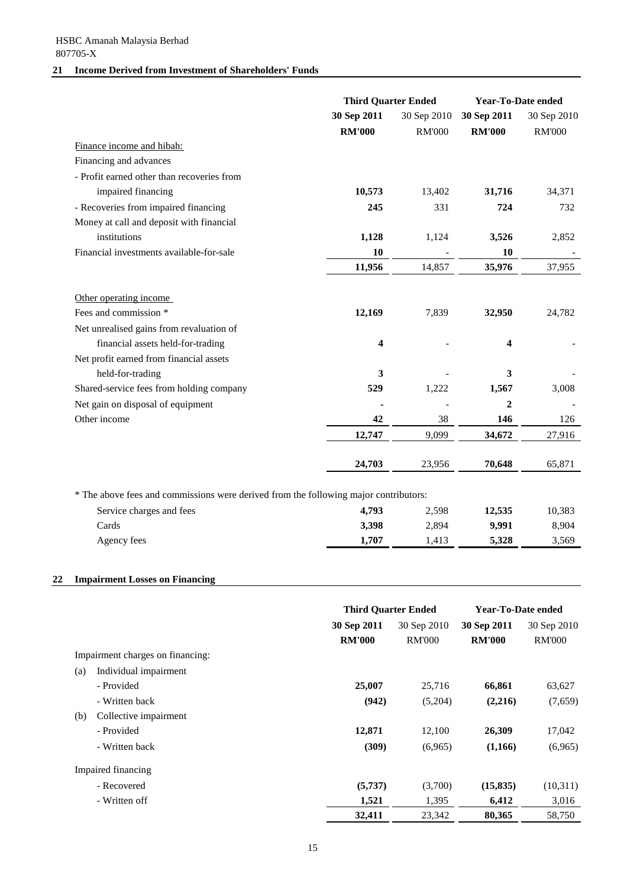# **21 Income Derived from Investment of Shareholders' Funds**

|                                                                                      |               | <b>Third Quarter Ended</b> |               | Year-To-Date ended |  |
|--------------------------------------------------------------------------------------|---------------|----------------------------|---------------|--------------------|--|
|                                                                                      | 30 Sep 2011   | 30 Sep 2010                | 30 Sep 2011   | 30 Sep 2010        |  |
|                                                                                      | <b>RM'000</b> | <b>RM'000</b>              | <b>RM'000</b> | <b>RM'000</b>      |  |
| Finance income and hibah:                                                            |               |                            |               |                    |  |
| Financing and advances                                                               |               |                            |               |                    |  |
| - Profit earned other than recoveries from                                           |               |                            |               |                    |  |
| impaired financing                                                                   | 10,573        | 13,402                     | 31,716        | 34,371             |  |
| - Recoveries from impaired financing                                                 | 245           | 331                        | 724           | 732                |  |
| Money at call and deposit with financial                                             |               |                            |               |                    |  |
| institutions                                                                         | 1,128         | 1,124                      | 3,526         | 2,852              |  |
| Financial investments available-for-sale                                             | 10            |                            | 10            |                    |  |
|                                                                                      | 11,956        | 14,857                     | 35,976        | 37,955             |  |
| Other operating income                                                               |               |                            |               |                    |  |
| Fees and commission *                                                                | 12,169        | 7,839                      | 32,950        | 24,782             |  |
| Net unrealised gains from revaluation of                                             |               |                            |               |                    |  |
| financial assets held-for-trading                                                    | 4             |                            | 4             |                    |  |
| Net profit earned from financial assets                                              |               |                            |               |                    |  |
| held-for-trading                                                                     | 3             |                            | 3             |                    |  |
| Shared-service fees from holding company                                             | 529           | 1,222                      | 1,567         | 3,008              |  |
| Net gain on disposal of equipment                                                    |               |                            | $\mathbf 2$   |                    |  |
| Other income                                                                         | 42            | 38                         | 146           | 126                |  |
|                                                                                      | 12,747        | 9,099                      | 34,672        | 27,916             |  |
|                                                                                      | 24,703        | 23,956                     | 70,648        | 65,871             |  |
|                                                                                      |               |                            |               |                    |  |
| * The above fees and commissions were derived from the following major contributors: |               |                            |               |                    |  |
| Service charges and fees                                                             | 4,793         | 2,598                      | 12,535        | 10,383             |  |
| Cards                                                                                | 3,398         | 2,894                      | 9,991         | 8,904              |  |
| Agency fees                                                                          | 1,707         | 1,413                      | 5,328         | 3,569              |  |

# **22 Impairment Losses on Financing**

|                                  | <b>Third Quarter Ended</b> |               | Year-To-Date ended |               |
|----------------------------------|----------------------------|---------------|--------------------|---------------|
|                                  | 30 Sep 2011                | 30 Sep 2010   | 30 Sep 2011        | 30 Sep 2010   |
|                                  | <b>RM'000</b>              | <b>RM'000</b> | <b>RM'000</b>      | <b>RM'000</b> |
| Impairment charges on financing: |                            |               |                    |               |
| Individual impairment<br>(a)     |                            |               |                    |               |
| - Provided                       | 25,007                     | 25,716        | 66,861             | 63,627        |
| - Written back                   | (942)                      | (5,204)       | (2,216)            | (7,659)       |
| Collective impairment<br>(b)     |                            |               |                    |               |
| - Provided                       | 12,871                     | 12,100        | 26,309             | 17,042        |
| - Written back                   | (309)                      | (6,965)       | (1,166)            | (6,965)       |
| Impaired financing               |                            |               |                    |               |
| - Recovered                      | (5,737)                    | (3,700)       | (15, 835)          | (10,311)      |
| - Written off                    | 1,521                      | 1,395         | 6,412              | 3,016         |
|                                  | 32,411                     | 23,342        | 80,365             | 58,750        |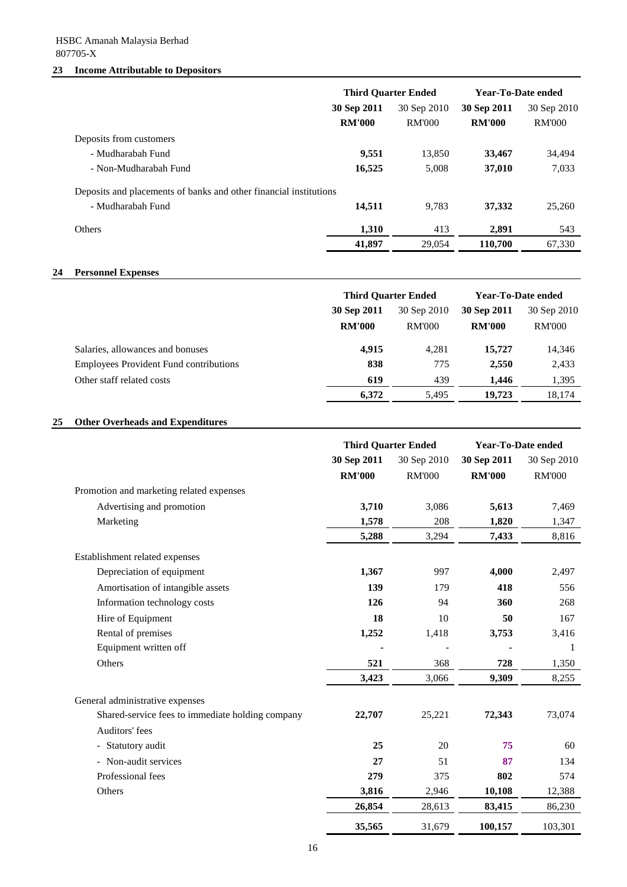# HSBC Amanah Malaysia Berhad 807705-X

## **23 Income Attributable to Depositors**

|                                                                   | <b>Third Quarter Ended</b> |               | <b>Year-To-Date ended</b> |               |
|-------------------------------------------------------------------|----------------------------|---------------|---------------------------|---------------|
|                                                                   | 30 Sep 2011                | 30 Sep 2010   | 30 Sep 2011               | 30 Sep 2010   |
|                                                                   | <b>RM'000</b>              | <b>RM'000</b> | <b>RM'000</b>             | <b>RM'000</b> |
| Deposits from customers                                           |                            |               |                           |               |
| - Mudharabah Fund                                                 | 9,551                      | 13,850        | 33,467                    | 34,494        |
| - Non-Mudharabah Fund                                             | 16,525                     | 5,008         | 37,010                    | 7,033         |
| Deposits and placements of banks and other financial institutions |                            |               |                           |               |
| - Mudharabah Fund                                                 | 14,511                     | 9.783         | 37,332                    | 25,260        |
| <b>Others</b>                                                     | 1,310                      | 413           | 2.891                     | 543           |
|                                                                   | 41,897                     | 29,054        | 110,700                   | 67,330        |

# **24 Personnel Expenses**

|                                               | <b>Third Quarter Ended</b> |               | Year-To-Date ended |               |             |             |             |
|-----------------------------------------------|----------------------------|---------------|--------------------|---------------|-------------|-------------|-------------|
|                                               | 30 Sep 2011                |               |                    |               | 30 Sep 2010 | 30 Sep 2011 | 30 Sep 2010 |
|                                               | <b>RM'000</b>              | <b>RM'000</b> | <b>RM'000</b>      | <b>RM'000</b> |             |             |             |
| Salaries, allowances and bonuses              | 4,915                      | 4.281         | 15,727             | 14,346        |             |             |             |
| <b>Employees Provident Fund contributions</b> | 838                        | 775           | 2,550              | 2,433         |             |             |             |
| Other staff related costs                     | 619                        | 439           | 1.446              | 1,395         |             |             |             |
|                                               | 6,372                      | 5,495         | 19.723             | 18,174        |             |             |             |

# **25 Other Overheads and Expenditures**

|                                                  | <b>Third Quarter Ended</b> |               | <b>Year-To-Date ended</b> |               |
|--------------------------------------------------|----------------------------|---------------|---------------------------|---------------|
|                                                  | 30 Sep 2011                | 30 Sep 2010   | 30 Sep 2011               | 30 Sep 2010   |
|                                                  | <b>RM'000</b>              | <b>RM'000</b> | <b>RM'000</b>             | <b>RM'000</b> |
| Promotion and marketing related expenses         |                            |               |                           |               |
| Advertising and promotion                        | 3,710                      | 3,086         | 5,613                     | 7,469         |
| Marketing                                        | 1,578                      | 208           | 1,820                     | 1,347         |
|                                                  | 5,288                      | 3,294         | 7,433                     | 8,816         |
| Establishment related expenses                   |                            |               |                           |               |
| Depreciation of equipment                        | 1,367                      | 997           | 4,000                     | 2,497         |
| Amortisation of intangible assets                | 139                        | 179           | 418                       | 556           |
| Information technology costs                     | 126                        | 94            | 360                       | 268           |
| Hire of Equipment                                | 18                         | 10            | 50                        | 167           |
| Rental of premises                               | 1,252                      | 1,418         | 3,753                     | 3,416         |
| Equipment written off                            |                            |               |                           | 1             |
| Others                                           | 521                        | 368           | 728                       | 1,350         |
|                                                  | 3,423                      | 3,066         | 9,309                     | 8,255         |
| General administrative expenses                  |                            |               |                           |               |
| Shared-service fees to immediate holding company | 22,707                     | 25,221        | 72,343                    | 73,074        |
| Auditors' fees                                   |                            |               |                           |               |
| Statutory audit<br>$\overline{\phantom{a}}$      | 25                         | 20            | 75                        | 60            |
| - Non-audit services                             | 27                         | 51            | 87                        | 134           |
| Professional fees                                | 279                        | 375           | 802                       | 574           |
| Others                                           | 3,816                      | 2,946         | 10,108                    | 12,388        |
|                                                  | 26,854                     | 28,613        | 83,415                    | 86,230        |
|                                                  | 35,565                     | 31,679        | 100,157                   | 103,301       |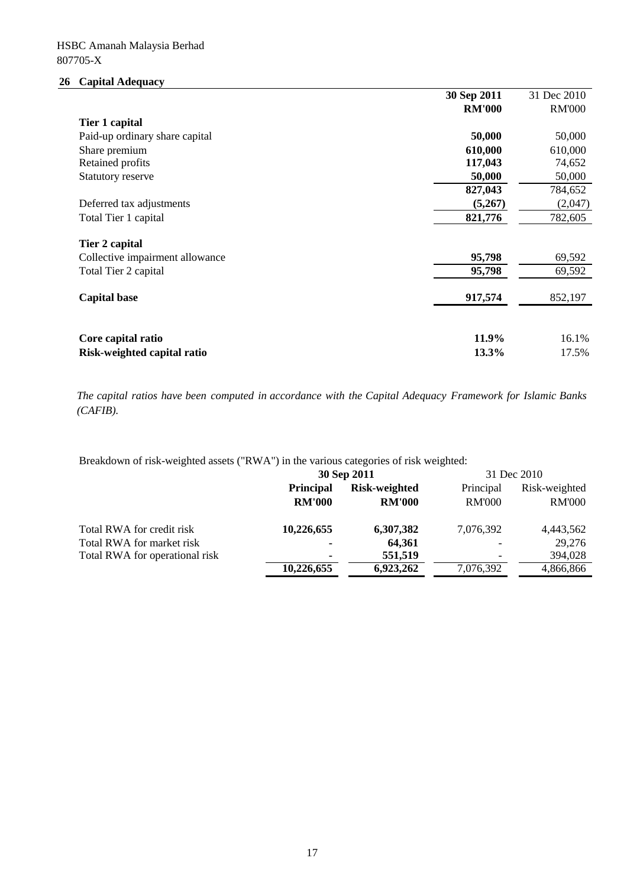# **26 Capital Adequacy**

|                                 | 30 Sep 2011   | 31 Dec 2010   |
|---------------------------------|---------------|---------------|
|                                 | <b>RM'000</b> | <b>RM'000</b> |
| Tier 1 capital                  |               |               |
| Paid-up ordinary share capital  | 50,000        | 50,000        |
| Share premium                   | 610,000       | 610,000       |
| Retained profits                | 117,043       | 74,652        |
| Statutory reserve               | 50,000        | 50,000        |
|                                 | 827,043       | 784,652       |
| Deferred tax adjustments        | (5,267)       | (2,047)       |
| Total Tier 1 capital            | 821,776       | 782,605       |
| Tier 2 capital                  |               |               |
| Collective impairment allowance | 95,798        | 69,592        |
| Total Tier 2 capital            | 95,798        | 69,592        |
| <b>Capital base</b>             | 917,574       | 852,197       |
|                                 |               |               |
| Core capital ratio              | 11.9%         | 16.1%         |
| Risk-weighted capital ratio     | 13.3%         | 17.5%         |

*The capital ratios have been computed in accordance with the Capital Adequacy Framework for Islamic Banks (CAFIB).*

Breakdown of risk-weighted assets ("RWA") in the various categories of risk weighted:

|                                |                                   | 30 Sep 2011                    |                            | 31 Dec 2010                    |
|--------------------------------|-----------------------------------|--------------------------------|----------------------------|--------------------------------|
|                                | <b>Principal</b><br><b>RM'000</b> | Risk-weighted<br><b>RM'000</b> | Principal<br><b>RM'000</b> | Risk-weighted<br><b>RM'000</b> |
| Total RWA for credit risk      | 10,226,655                        | 6,307,382                      | 7,076,392                  | 4,443,562                      |
| Total RWA for market risk      | $\blacksquare$                    | 64.361                         | $\overline{\phantom{a}}$   | 29,276                         |
| Total RWA for operational risk | $\blacksquare$                    | 551,519                        |                            | 394,028                        |
|                                | 10.226,655                        | 6,923,262                      | 7,076,392                  | 4,866,866                      |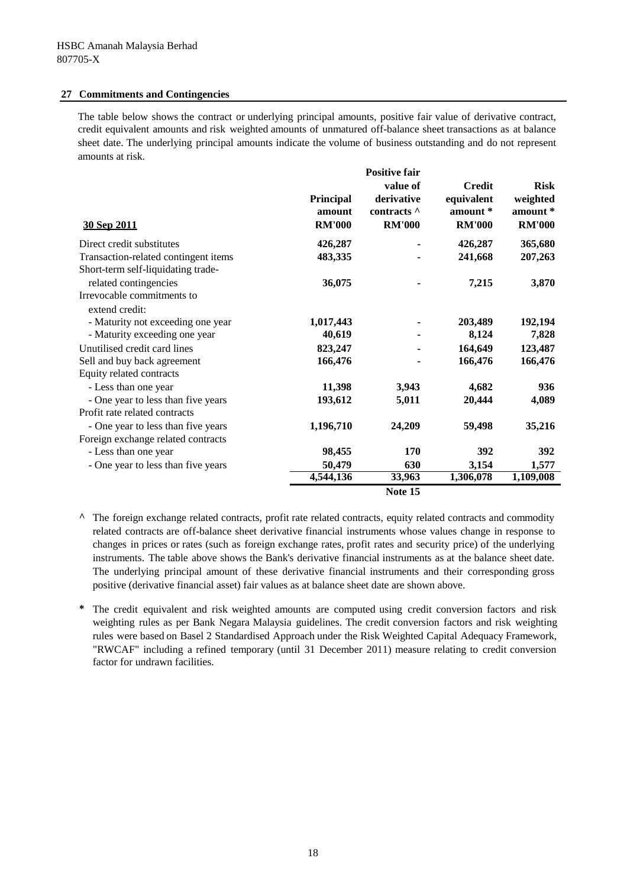#### **27 Commitments and Contingencies**

The table below shows the contract or underlying principal amounts, positive fair value of derivative contract, credit equivalent amounts and risk weighted amounts of unmatured off-balance sheet transactions as at balance sheet date. The underlying principal amounts indicate the volume of business outstanding and do not represent amounts at risk.

| 30 Sep 2011                                  | Principal<br>amount<br><b>RM'000</b> | <b>Positive fair</b><br>value of<br>derivative<br>contracts ^<br><b>RM'000</b> | <b>Credit</b><br>equivalent<br>amount $*$<br><b>RM'000</b> | <b>Risk</b><br>weighted<br>amount *<br><b>RM'000</b> |
|----------------------------------------------|--------------------------------------|--------------------------------------------------------------------------------|------------------------------------------------------------|------------------------------------------------------|
| Direct credit substitutes                    | 426,287                              |                                                                                | 426,287                                                    | 365,680                                              |
| Transaction-related contingent items         | 483,335                              |                                                                                | 241,668                                                    | 207,263                                              |
| Short-term self-liquidating trade-           |                                      |                                                                                |                                                            |                                                      |
| related contingencies                        | 36,075                               |                                                                                | 7,215                                                      | 3,870                                                |
| Irrevocable commitments to<br>extend credit: |                                      |                                                                                |                                                            |                                                      |
| - Maturity not exceeding one year            | 1,017,443                            |                                                                                | 203,489                                                    | 192,194                                              |
| - Maturity exceeding one year                | 40,619                               |                                                                                | 8,124                                                      | 7,828                                                |
| Unutilised credit card lines                 | 823,247                              |                                                                                | 164,649                                                    | 123,487                                              |
| Sell and buy back agreement                  | 166,476                              |                                                                                | 166,476                                                    | 166,476                                              |
| Equity related contracts                     |                                      |                                                                                |                                                            |                                                      |
| - Less than one year                         | 11,398                               | 3,943                                                                          | 4,682                                                      | 936                                                  |
| - One year to less than five years           | 193,612                              | 5,011                                                                          | 20,444                                                     | 4,089                                                |
| Profit rate related contracts                |                                      |                                                                                |                                                            |                                                      |
| - One year to less than five years           | 1,196,710                            | 24,209                                                                         | 59,498                                                     | 35,216                                               |
| Foreign exchange related contracts           |                                      |                                                                                |                                                            |                                                      |
| - Less than one year                         | 98,455                               | 170                                                                            | 392                                                        | 392                                                  |
| - One year to less than five years           | 50,479                               | 630                                                                            | 3,154                                                      | 1,577                                                |
|                                              | 4,544,136                            | 33,963                                                                         | 1,306,078                                                  | 1,109,008                                            |
|                                              |                                      | Note 15                                                                        |                                                            |                                                      |

**^** The foreign exchange related contracts, profit rate related contracts, equity related contracts and commodity related contracts are off-balance sheet derivative financial instruments whose values change in response to changes in prices or rates (such as foreign exchange rates, profit rates and security price) of the underlying instruments. The table above shows the Bank's derivative financial instruments as at the balance sheet date. The underlying principal amount of these derivative financial instruments and their corresponding gross positive (derivative financial asset) fair values as at balance sheet date are shown above.

**\*** The credit equivalent and risk weighted amounts are computed using credit conversion factors and risk weighting rules as per Bank Negara Malaysia guidelines. The credit conversion factors and risk weighting rules were based on Basel 2 Standardised Approach under the Risk Weighted Capital Adequacy Framework, "RWCAF" including a refined temporary (until 31 December 2011) measure relating to credit conversion factor for undrawn facilities.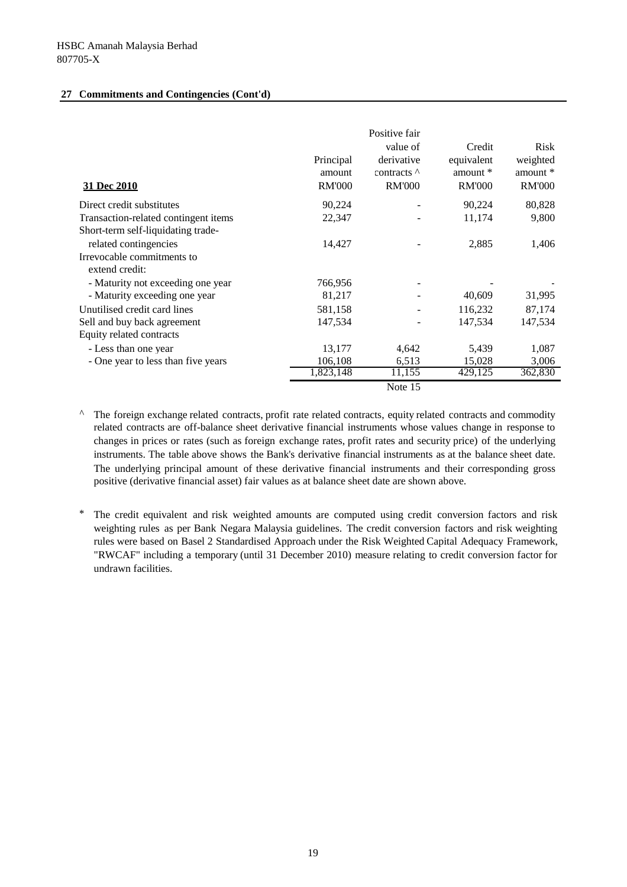## **27 Commitments and Contingencies (Cont'd)**

| 31 Dec 2010                          | Principal<br>amount<br><b>RM'000</b> | Positive fair<br>value of<br>derivative<br>contracts $\wedge$<br><b>RM'000</b> | Credit<br>equivalent<br>amount *<br><b>RM'000</b> | Risk<br>weighted<br>amount *<br><b>RM'000</b> |
|--------------------------------------|--------------------------------------|--------------------------------------------------------------------------------|---------------------------------------------------|-----------------------------------------------|
| Direct credit substitutes            | 90,224                               |                                                                                | 90,224                                            | 80,828                                        |
| Transaction-related contingent items | 22,347                               |                                                                                | 11,174                                            | 9,800                                         |
| Short-term self-liquidating trade-   |                                      |                                                                                |                                                   |                                               |
| related contingencies                | 14,427                               |                                                                                | 2,885                                             | 1,406                                         |
| Irrevocable commitments to           |                                      |                                                                                |                                                   |                                               |
| extend credit:                       |                                      |                                                                                |                                                   |                                               |
| - Maturity not exceeding one year    | 766,956                              |                                                                                |                                                   |                                               |
| - Maturity exceeding one year        | 81,217                               |                                                                                | 40,609                                            | 31,995                                        |
| Unutilised credit card lines         | 581,158                              |                                                                                | 116,232                                           | 87,174                                        |
| Sell and buy back agreement          | 147,534                              |                                                                                | 147,534                                           | 147,534                                       |
| Equity related contracts             |                                      |                                                                                |                                                   |                                               |
| - Less than one year                 | 13,177                               | 4,642                                                                          | 5,439                                             | 1,087                                         |
| - One year to less than five years   | 106,108                              | 6,513                                                                          | 15,028                                            | 3,006                                         |
|                                      | 1,823,148                            | 11,155                                                                         | 429,125                                           | 362,830                                       |
|                                      |                                      | Note 15                                                                        |                                                   |                                               |

*^* The foreign exchange related contracts, profit rate related contracts, equity related contracts and commodity related contracts are off-balance sheet derivative financial instruments whose values change in response to changes in prices or rates (such as foreign exchange rates, profit rates and security price) of the underlying instruments. The table above shows the Bank's derivative financial instruments as at the balance sheet date. The underlying principal amount of these derivative financial instruments and their corresponding gross positive (derivative financial asset) fair values as at balance sheet date are shown above.

\* The credit equivalent and risk weighted amounts are computed using credit conversion factors and risk weighting rules as per Bank Negara Malaysia guidelines. The credit conversion factors and risk weighting rules were based on Basel 2 Standardised Approach under the Risk Weighted Capital Adequacy Framework, "RWCAF" including a temporary (until 31 December 2010) measure relating to credit conversion factor for undrawn facilities.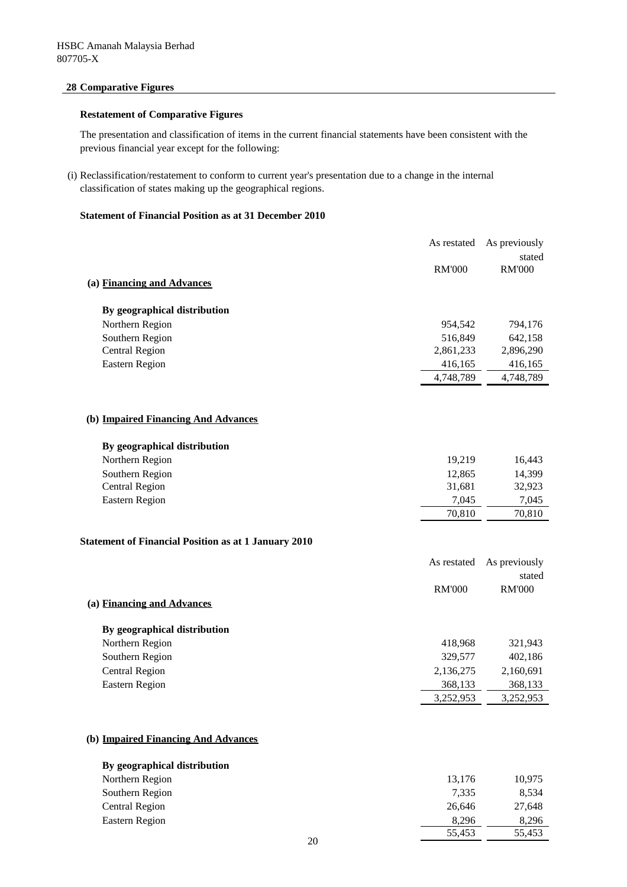# **28 Comparative Figures**

## **Restatement of Comparative Figures**

The presentation and classification of items in the current financial statements have been consistent with the previous financial year except for the following:

(i) Reclassification/restatement to conform to current year's presentation due to a change in the internal classification of states making up the geographical regions.

## **Statement of Financial Position as at 31 December 2010**

|                                                             | As restated   | As previously |
|-------------------------------------------------------------|---------------|---------------|
|                                                             |               | stated        |
|                                                             | <b>RM'000</b> | <b>RM'000</b> |
| (a) Financing and Advances                                  |               |               |
| By geographical distribution                                |               |               |
| Northern Region                                             | 954,542       | 794,176       |
| Southern Region                                             | 516,849       | 642,158       |
| <b>Central Region</b>                                       | 2,861,233     | 2,896,290     |
| <b>Eastern Region</b>                                       | 416,165       | 416,165       |
|                                                             | 4,748,789     | 4,748,789     |
|                                                             |               |               |
| (b) Impaired Financing And Advances                         |               |               |
| By geographical distribution                                |               |               |
| Northern Region                                             | 19,219        | 16,443        |
| Southern Region                                             | 12,865        | 14,399        |
| <b>Central Region</b>                                       | 31,681        | 32,923        |
| <b>Eastern Region</b>                                       | 7,045         | 7,045         |
|                                                             | 70,810        | 70,810        |
| <b>Statement of Financial Position as at 1 January 2010</b> |               |               |
|                                                             |               |               |
|                                                             | As restated   | As previously |
|                                                             |               | stated        |
| (a) Financing and Advances                                  | <b>RM'000</b> | <b>RM'000</b> |
|                                                             |               |               |
| By geographical distribution                                |               |               |
| Northern Region                                             | 418,968       | 321,943       |
| Southern Region                                             | 329,577       | 402,186       |
| <b>Central Region</b>                                       | 2,136,275     | 2,160,691     |
| <b>Eastern Region</b>                                       | 368,133       | 368,133       |
|                                                             | 3,252,953     | 3,252,953     |
|                                                             |               |               |
| (b) Impaired Financing And Advances                         |               |               |
| By geographical distribution                                |               |               |
| Northern Region                                             | 13,176        | 10,975        |
| Southern Region                                             | 7,335         | 8,534         |
| <b>Central Region</b>                                       | 26,646        | 27,648        |
| <b>Eastern Region</b>                                       | 8,296         | 8,296         |

 $\frac{1}{55,453}$  55,453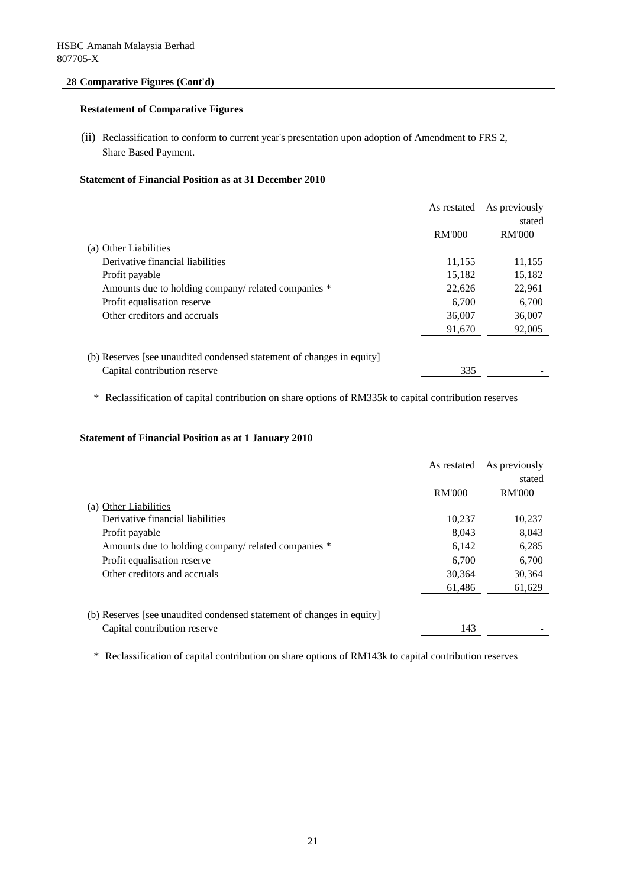# **28 Comparative Figures (Cont'd)**

# **Restatement of Comparative Figures**

(ii) Reclassification to conform to current year's presentation upon adoption of Amendment to FRS 2, Share Based Payment.

# **Statement of Financial Position as at 31 December 2010**

|                                                                       | As restated   | As previously |
|-----------------------------------------------------------------------|---------------|---------------|
|                                                                       |               | stated        |
|                                                                       | <b>RM'000</b> | <b>RM'000</b> |
| (a) Other Liabilities                                                 |               |               |
| Derivative financial liabilities                                      | 11,155        | 11,155        |
| Profit payable                                                        | 15,182        | 15,182        |
| Amounts due to holding company/ related companies *                   | 22,626        | 22,961        |
| Profit equalisation reserve                                           | 6.700         | 6,700         |
| Other creditors and accruals                                          | 36,007        | 36,007        |
|                                                                       | 91,670        | 92,005        |
| (b) Reserves [see unaudited condensed statement of changes in equity] |               |               |
| Capital contribution reserve                                          | 335           |               |
|                                                                       |               |               |

\* Reclassification of capital contribution on share options of RM335k to capital contribution reserves

## **Statement of Financial Position as at 1 January 2010**

|                                                                       | As restated   | As previously |
|-----------------------------------------------------------------------|---------------|---------------|
|                                                                       |               | stated        |
|                                                                       | <b>RM'000</b> | <b>RM'000</b> |
| (a) Other Liabilities                                                 |               |               |
| Derivative financial liabilities                                      | 10,237        | 10.237        |
| Profit payable                                                        | 8.043         | 8.043         |
| Amounts due to holding company/ related companies *                   | 6,142         | 6,285         |
| Profit equalisation reserve                                           | 6.700         | 6,700         |
| Other creditors and accruals                                          | 30.364        | 30,364        |
|                                                                       | 61,486        | 61,629        |
| (b) Reserves [see unaudited condensed statement of changes in equity] |               |               |
| Capital contribution reserve                                          | 143           |               |

\* Reclassification of capital contribution on share options of RM143k to capital contribution reserves